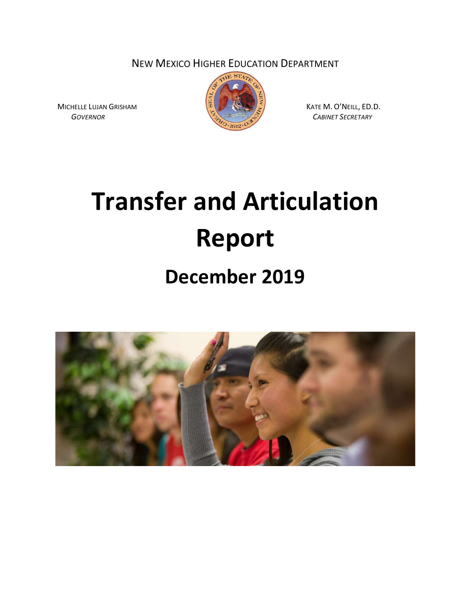NEW MEXICO HIGHER EDUCATION DEPARTMENT



GOVERNOR CABINET SECRETARY

Transfer and Articulation Report

December 2019



MICHELLE LUJAN GRISHAM  $\sqrt{\frac{3}{9}}$  ( $\sqrt{\frac{3}{9}}$ ) KATE M. O'NEILL, ED.D.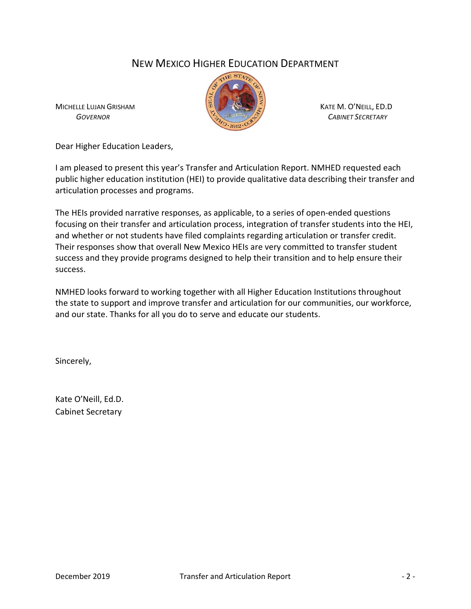# NEW MEXICO HIGHER EDUCATION DEPARTMENT



MICHELLE LUJAN GRISHAM  $\sqrt[n]{\sqrt[n]{\sqrt[n]{\mathbb{R}}}}$  KATE M. O'NEILL, ED.D

Dear Higher Education Leaders,

I am pleased to present this year's Transfer and Articulation Report. NMHED requested each public higher education institution (HEI) to provide qualitative data describing their transfer and articulation processes and programs.

The HEIs provided narrative responses, as applicable, to a series of open-ended questions focusing on their transfer and articulation process, integration of transfer students into the HEI, and whether or not students have filed complaints regarding articulation or transfer credit. Their responses show that overall New Mexico HEIs are very committed to transfer student success and they provide programs designed to help their transition and to help ensure their success.

NMHED looks forward to working together with all Higher Education Institutions throughout the state to support and improve transfer and articulation for our communities, our workforce, and our state. Thanks for all you do to serve and educate our students.

Sincerely,

Kate O'Neill, Ed.D. Cabinet Secretary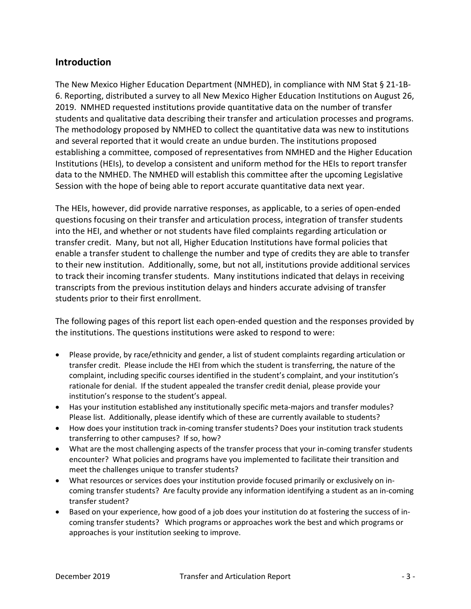# Introduction

The New Mexico Higher Education Department (NMHED), in compliance with NM Stat § 21-1B-6. Reporting, distributed a survey to all New Mexico Higher Education Institutions on August 26, 2019. NMHED requested institutions provide quantitative data on the number of transfer students and qualitative data describing their transfer and articulation processes and programs. The methodology proposed by NMHED to collect the quantitative data was new to institutions and several reported that it would create an undue burden. The institutions proposed establishing a committee, composed of representatives from NMHED and the Higher Education Institutions (HEIs), to develop a consistent and uniform method for the HEIs to report transfer data to the NMHED. The NMHED will establish this committee after the upcoming Legislative Session with the hope of being able to report accurate quantitative data next year.

The HEIs, however, did provide narrative responses, as applicable, to a series of open-ended questions focusing on their transfer and articulation process, integration of transfer students into the HEI, and whether or not students have filed complaints regarding articulation or transfer credit. Many, but not all, Higher Education Institutions have formal policies that enable a transfer student to challenge the number and type of credits they are able to transfer to their new institution. Additionally, some, but not all, institutions provide additional services to track their incoming transfer students. Many institutions indicated that delays in receiving transcripts from the previous institution delays and hinders accurate advising of transfer students prior to their first enrollment.

The following pages of this report list each open-ended question and the responses provided by the institutions. The questions institutions were asked to respond to were:

- Please provide, by race/ethnicity and gender, a list of student complaints regarding articulation or transfer credit. Please include the HEI from which the student is transferring, the nature of the complaint, including specific courses identified in the student's complaint, and your institution's rationale for denial. If the student appealed the transfer credit denial, please provide your institution's response to the student's appeal.
- Has your institution established any institutionally specific meta-majors and transfer modules? Please list. Additionally, please identify which of these are currently available to students?
- How does your institution track in-coming transfer students? Does your institution track students transferring to other campuses? If so, how?
- What are the most challenging aspects of the transfer process that your in-coming transfer students encounter? What policies and programs have you implemented to facilitate their transition and meet the challenges unique to transfer students?
- What resources or services does your institution provide focused primarily or exclusively on incoming transfer students? Are faculty provide any information identifying a student as an in-coming transfer student?
- Based on your experience, how good of a job does your institution do at fostering the success of incoming transfer students? Which programs or approaches work the best and which programs or approaches is your institution seeking to improve.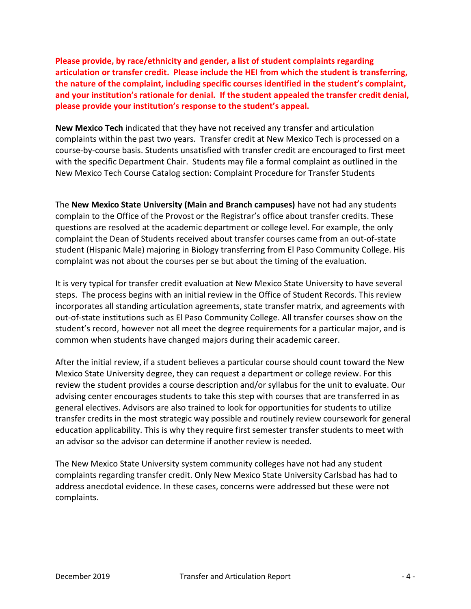Please provide, by race/ethnicity and gender, a list of student complaints regarding articulation or transfer credit. Please include the HEI from which the student is transferring, the nature of the complaint, including specific courses identified in the student's complaint, and your institution's rationale for denial. If the student appealed the transfer credit denial, please provide your institution's response to the student's appeal.

New Mexico Tech indicated that they have not received any transfer and articulation complaints within the past two years. Transfer credit at New Mexico Tech is processed on a course-by-course basis. Students unsatisfied with transfer credit are encouraged to first meet with the specific Department Chair. Students may file a formal complaint as outlined in the New Mexico Tech Course Catalog section: Complaint Procedure for Transfer Students

The New Mexico State University (Main and Branch campuses) have not had any students complain to the Office of the Provost or the Registrar's office about transfer credits. These questions are resolved at the academic department or college level. For example, the only complaint the Dean of Students received about transfer courses came from an out-of-state student (Hispanic Male) majoring in Biology transferring from El Paso Community College. His complaint was not about the courses per se but about the timing of the evaluation.

It is very typical for transfer credit evaluation at New Mexico State University to have several steps. The process begins with an initial review in the Office of Student Records. This review incorporates all standing articulation agreements, state transfer matrix, and agreements with out-of-state institutions such as El Paso Community College. All transfer courses show on the student's record, however not all meet the degree requirements for a particular major, and is common when students have changed majors during their academic career.

After the initial review, if a student believes a particular course should count toward the New Mexico State University degree, they can request a department or college review. For this review the student provides a course description and/or syllabus for the unit to evaluate. Our advising center encourages students to take this step with courses that are transferred in as general electives. Advisors are also trained to look for opportunities for students to utilize transfer credits in the most strategic way possible and routinely review coursework for general education applicability. This is why they require first semester transfer students to meet with an advisor so the advisor can determine if another review is needed.

The New Mexico State University system community colleges have not had any student complaints regarding transfer credit. Only New Mexico State University Carlsbad has had to address anecdotal evidence. In these cases, concerns were addressed but these were not complaints.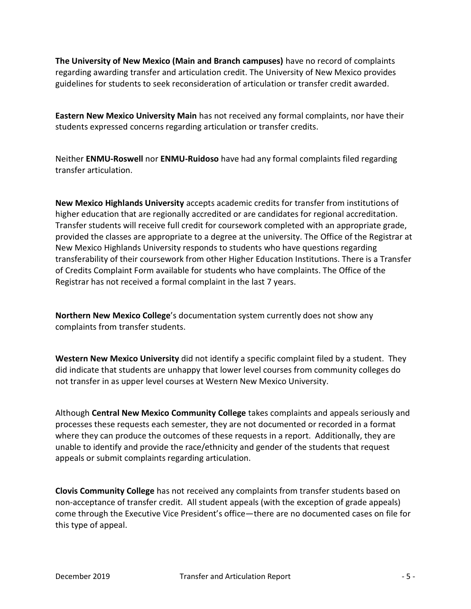The University of New Mexico (Main and Branch campuses) have no record of complaints regarding awarding transfer and articulation credit. The University of New Mexico provides guidelines for students to seek reconsideration of articulation or transfer credit awarded.

Eastern New Mexico University Main has not received any formal complaints, nor have their students expressed concerns regarding articulation or transfer credits.

Neither ENMU-Roswell nor ENMU-Ruidoso have had any formal complaints filed regarding transfer articulation.

New Mexico Highlands University accepts academic credits for transfer from institutions of higher education that are regionally accredited or are candidates for regional accreditation. Transfer students will receive full credit for coursework completed with an appropriate grade, provided the classes are appropriate to a degree at the university. The Office of the Registrar at New Mexico Highlands University responds to students who have questions regarding transferability of their coursework from other Higher Education Institutions. There is a Transfer of Credits Complaint Form available for students who have complaints. The Office of the Registrar has not received a formal complaint in the last 7 years.

Northern New Mexico College's documentation system currently does not show any complaints from transfer students.

Western New Mexico University did not identify a specific complaint filed by a student. They did indicate that students are unhappy that lower level courses from community colleges do not transfer in as upper level courses at Western New Mexico University.

Although Central New Mexico Community College takes complaints and appeals seriously and processes these requests each semester, they are not documented or recorded in a format where they can produce the outcomes of these requests in a report. Additionally, they are unable to identify and provide the race/ethnicity and gender of the students that request appeals or submit complaints regarding articulation.

Clovis Community College has not received any complaints from transfer students based on non-acceptance of transfer credit. All student appeals (with the exception of grade appeals) come through the Executive Vice President's office—there are no documented cases on file for this type of appeal.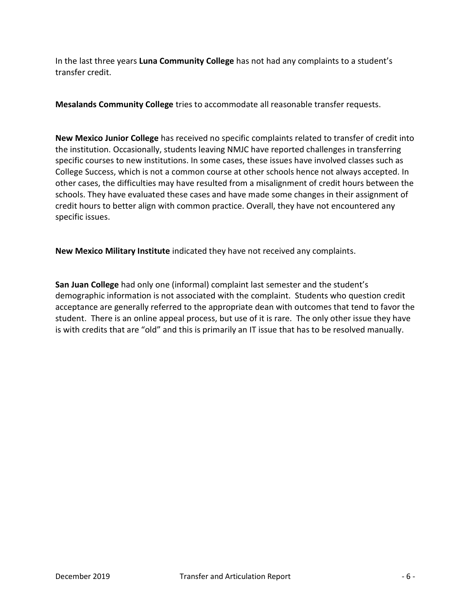In the last three years Luna Community College has not had any complaints to a student's transfer credit.

Mesalands Community College tries to accommodate all reasonable transfer requests.

New Mexico Junior College has received no specific complaints related to transfer of credit into the institution. Occasionally, students leaving NMJC have reported challenges in transferring specific courses to new institutions. In some cases, these issues have involved classes such as College Success, which is not a common course at other schools hence not always accepted. In other cases, the difficulties may have resulted from a misalignment of credit hours between the schools. They have evaluated these cases and have made some changes in their assignment of credit hours to better align with common practice. Overall, they have not encountered any specific issues.

New Mexico Military Institute indicated they have not received any complaints.

San Juan College had only one (informal) complaint last semester and the student's demographic information is not associated with the complaint. Students who question credit acceptance are generally referred to the appropriate dean with outcomes that tend to favor the student. There is an online appeal process, but use of it is rare. The only other issue they have is with credits that are "old" and this is primarily an IT issue that has to be resolved manually.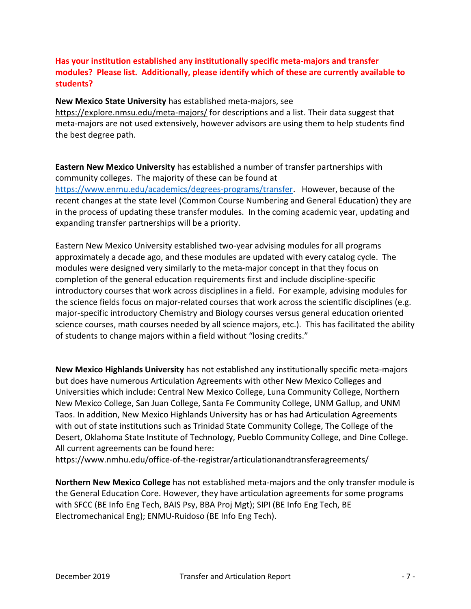# Has your institution established any institutionally specific meta-majors and transfer modules? Please list. Additionally, please identify which of these are currently available to students?

#### New Mexico State University has established meta-majors, see

https://explore.nmsu.edu/meta-majors/ for descriptions and a list. Their data suggest that meta-majors are not used extensively, however advisors are using them to help students find the best degree path.

Eastern New Mexico University has established a number of transfer partnerships with community colleges. The majority of these can be found at https://www.enmu.edu/academics/degrees-programs/transfer. However, because of the recent changes at the state level (Common Course Numbering and General Education) they are in the process of updating these transfer modules. In the coming academic year, updating and expanding transfer partnerships will be a priority.

Eastern New Mexico University established two-year advising modules for all programs approximately a decade ago, and these modules are updated with every catalog cycle. The modules were designed very similarly to the meta-major concept in that they focus on completion of the general education requirements first and include discipline-specific introductory courses that work across disciplines in a field. For example, advising modules for the science fields focus on major-related courses that work across the scientific disciplines (e.g. major-specific introductory Chemistry and Biology courses versus general education oriented science courses, math courses needed by all science majors, etc.). This has facilitated the ability of students to change majors within a field without "losing credits."

New Mexico Highlands University has not established any institutionally specific meta-majors but does have numerous Articulation Agreements with other New Mexico Colleges and Universities which include: Central New Mexico College, Luna Community College, Northern New Mexico College, San Juan College, Santa Fe Community College, UNM Gallup, and UNM Taos. In addition, New Mexico Highlands University has or has had Articulation Agreements with out of state institutions such as Trinidad State Community College, The College of the Desert, Oklahoma State Institute of Technology, Pueblo Community College, and Dine College. All current agreements can be found here:

https://www.nmhu.edu/office-of-the-registrar/articulationandtransferagreements/

Northern New Mexico College has not established meta-majors and the only transfer module is the General Education Core. However, they have articulation agreements for some programs with SFCC (BE Info Eng Tech, BAIS Psy, BBA Proj Mgt); SIPI (BE Info Eng Tech, BE Electromechanical Eng); ENMU-Ruidoso (BE Info Eng Tech).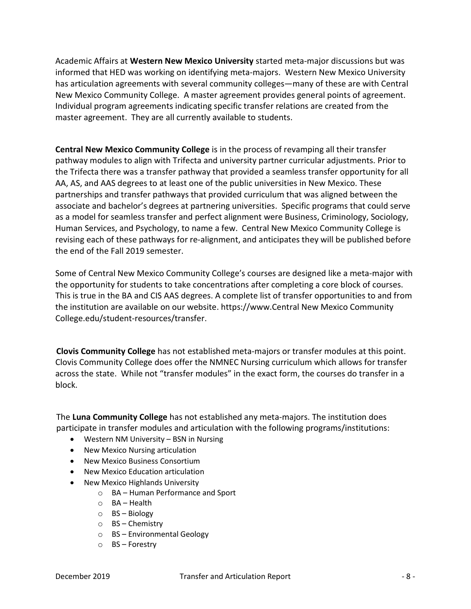Academic Affairs at Western New Mexico University started meta-major discussions but was informed that HED was working on identifying meta-majors. Western New Mexico University has articulation agreements with several community colleges—many of these are with Central New Mexico Community College. A master agreement provides general points of agreement. Individual program agreements indicating specific transfer relations are created from the master agreement. They are all currently available to students.

Central New Mexico Community College is in the process of revamping all their transfer pathway modules to align with Trifecta and university partner curricular adjustments. Prior to the Trifecta there was a transfer pathway that provided a seamless transfer opportunity for all AA, AS, and AAS degrees to at least one of the public universities in New Mexico. These partnerships and transfer pathways that provided curriculum that was aligned between the associate and bachelor's degrees at partnering universities. Specific programs that could serve as a model for seamless transfer and perfect alignment were Business, Criminology, Sociology, Human Services, and Psychology, to name a few. Central New Mexico Community College is revising each of these pathways for re-alignment, and anticipates they will be published before the end of the Fall 2019 semester.

Some of Central New Mexico Community College's courses are designed like a meta-major with the opportunity for students to take concentrations after completing a core block of courses. This is true in the BA and CIS AAS degrees. A complete list of transfer opportunities to and from the institution are available on our website. https://www.Central New Mexico Community College.edu/student-resources/transfer.

Clovis Community College has not established meta-majors or transfer modules at this point. Clovis Community College does offer the NMNEC Nursing curriculum which allows for transfer across the state. While not "transfer modules" in the exact form, the courses do transfer in a block.

The Luna Community College has not established any meta-majors. The institution does participate in transfer modules and articulation with the following programs/institutions:

- Western NM University BSN in Nursing
- New Mexico Nursing articulation
- New Mexico Business Consortium
- New Mexico Education articulation
- New Mexico Highlands University
	- o BA Human Performance and Sport
	- o BA Health
	- o BS Biology
	- o BS Chemistry
	- o BS Environmental Geology
	- o BS Forestry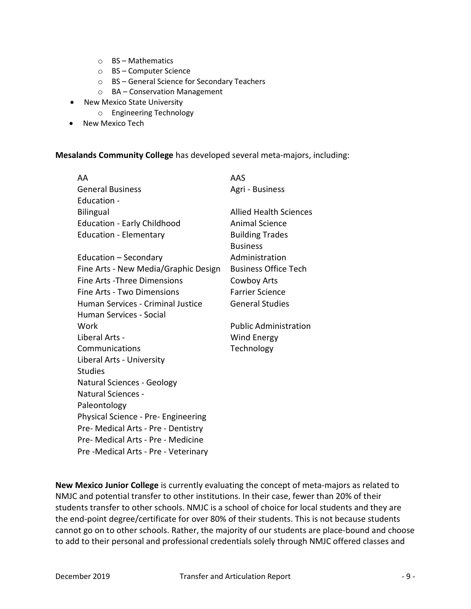- o BS Mathematics
- o BS Computer Science
- o BS General Science for Secondary Teachers
- o BA Conservation Management
- New Mexico State University
	- o Engineering Technology
- New Mexico Tech

#### Mesalands Community College has developed several meta-majors, including:

| AA                                   | AAS                           |
|--------------------------------------|-------------------------------|
| <b>General Business</b>              | Agri - Business               |
| Education -                          |                               |
| <b>Bilingual</b>                     | <b>Allied Health Sciences</b> |
| <b>Education - Early Childhood</b>   | <b>Animal Science</b>         |
| <b>Education - Elementary</b>        | <b>Building Trades</b>        |
|                                      | <b>Business</b>               |
| Education - Secondary                | Administration                |
| Fine Arts - New Media/Graphic Design | <b>Business Office Tech</b>   |
| Fine Arts - Three Dimensions         | Cowboy Arts                   |
| Fine Arts - Two Dimensions           | <b>Farrier Science</b>        |
| Human Services - Criminal Justice    | <b>General Studies</b>        |
| Human Services - Social              |                               |
| Work                                 | <b>Public Administration</b>  |
| Liberal Arts -                       | Wind Energy                   |
| Communications                       | Technology                    |
| Liberal Arts - University            |                               |
| <b>Studies</b>                       |                               |
| <b>Natural Sciences - Geology</b>    |                               |
| Natural Sciences -                   |                               |
| Paleontology                         |                               |
| Physical Science - Pre- Engineering  |                               |
| Pre- Medical Arts - Pre - Dentistry  |                               |
| Pre- Medical Arts - Pre - Medicine   |                               |
| Pre -Medical Arts - Pre - Veterinary |                               |

New Mexico Junior College is currently evaluating the concept of meta-majors as related to NMJC and potential transfer to other institutions. In their case, fewer than 20% of their students transfer to other schools. NMJC is a school of choice for local students and they are the end-point degree/certificate for over 80% of their students. This is not because students cannot go on to other schools. Rather, the majority of our students are place-bound and choose to add to their personal and professional credentials solely through NMJC offered classes and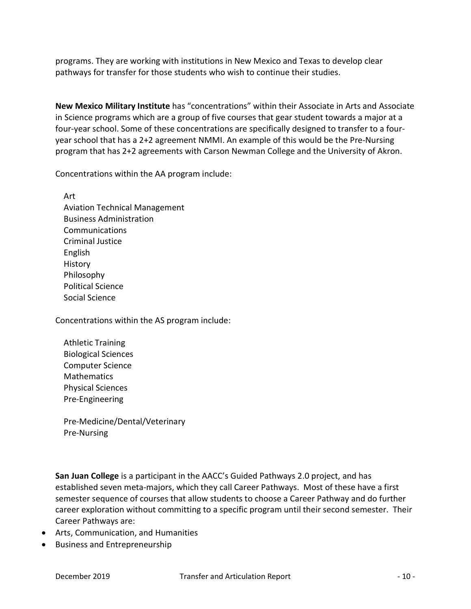programs. They are working with institutions in New Mexico and Texas to develop clear pathways for transfer for those students who wish to continue their studies.

New Mexico Military Institute has "concentrations" within their Associate in Arts and Associate in Science programs which are a group of five courses that gear student towards a major at a four-year school. Some of these concentrations are specifically designed to transfer to a fouryear school that has a 2+2 agreement NMMI. An example of this would be the Pre-Nursing program that has 2+2 agreements with Carson Newman College and the University of Akron.

Concentrations within the AA program include:

 Art Aviation Technical Management Business Administration Communications Criminal Justice English History Philosophy Political Science Social Science

Concentrations within the AS program include:

 Athletic Training Biological Sciences Computer Science Mathematics Physical Sciences Pre-Engineering

 Pre-Medicine/Dental/Veterinary Pre-Nursing

San Juan College is a participant in the AACC's Guided Pathways 2.0 project, and has established seven meta-majors, which they call Career Pathways. Most of these have a first semester sequence of courses that allow students to choose a Career Pathway and do further career exploration without committing to a specific program until their second semester. Their Career Pathways are:

- Arts, Communication, and Humanities
- **•** Business and Entrepreneurship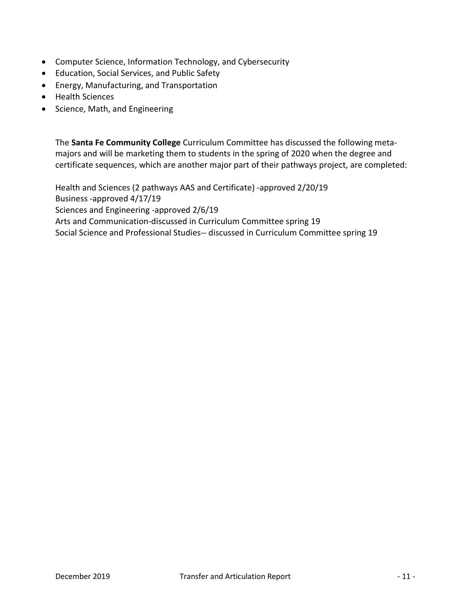- Computer Science, Information Technology, and Cybersecurity
- Education, Social Services, and Public Safety
- Energy, Manufacturing, and Transportation
- Health Sciences
- Science, Math, and Engineering

The Santa Fe Community College Curriculum Committee has discussed the following metamajors and will be marketing them to students in the spring of 2020 when the degree and certificate sequences, which are another major part of their pathways project, are completed:

Health and Sciences (2 pathways AAS and Certificate) -approved 2/20/19 Business -approved 4/17/19 Sciences and Engineering -approved 2/6/19 Arts and Communication-discussed in Curriculum Committee spring 19 Social Science and Professional Studies-- discussed in Curriculum Committee spring 19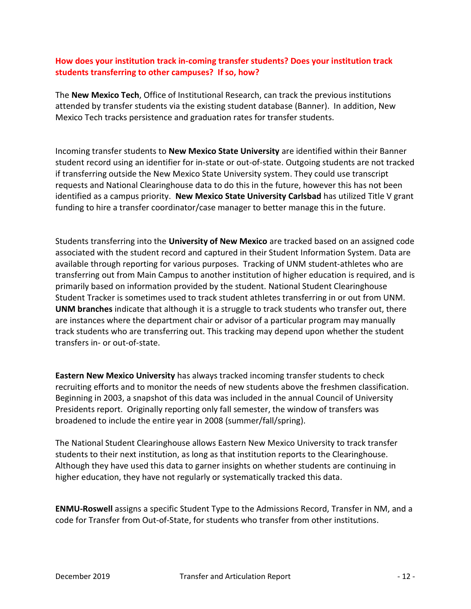### How does your institution track in-coming transfer students? Does your institution track students transferring to other campuses? If so, how?

The New Mexico Tech, Office of Institutional Research, can track the previous institutions attended by transfer students via the existing student database (Banner). In addition, New Mexico Tech tracks persistence and graduation rates for transfer students.

Incoming transfer students to New Mexico State University are identified within their Banner student record using an identifier for in-state or out-of-state. Outgoing students are not tracked if transferring outside the New Mexico State University system. They could use transcript requests and National Clearinghouse data to do this in the future, however this has not been identified as a campus priority. New Mexico State University Carlsbad has utilized Title V grant funding to hire a transfer coordinator/case manager to better manage this in the future.

Students transferring into the University of New Mexico are tracked based on an assigned code associated with the student record and captured in their Student Information System. Data are available through reporting for various purposes. Tracking of UNM student-athletes who are transferring out from Main Campus to another institution of higher education is required, and is primarily based on information provided by the student. National Student Clearinghouse Student Tracker is sometimes used to track student athletes transferring in or out from UNM. UNM branches indicate that although it is a struggle to track students who transfer out, there are instances where the department chair or advisor of a particular program may manually track students who are transferring out. This tracking may depend upon whether the student transfers in- or out-of-state.

Eastern New Mexico University has always tracked incoming transfer students to check recruiting efforts and to monitor the needs of new students above the freshmen classification. Beginning in 2003, a snapshot of this data was included in the annual Council of University Presidents report. Originally reporting only fall semester, the window of transfers was broadened to include the entire year in 2008 (summer/fall/spring).

The National Student Clearinghouse allows Eastern New Mexico University to track transfer students to their next institution, as long as that institution reports to the Clearinghouse. Although they have used this data to garner insights on whether students are continuing in higher education, they have not regularly or systematically tracked this data.

ENMU-Roswell assigns a specific Student Type to the Admissions Record, Transfer in NM, and a code for Transfer from Out-of-State, for students who transfer from other institutions.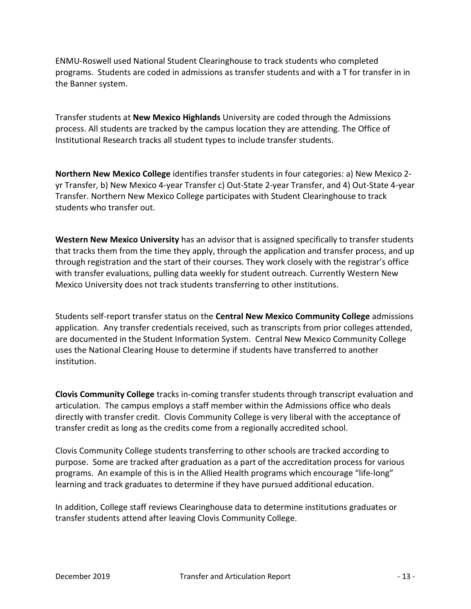ENMU-Roswell used National Student Clearinghouse to track students who completed programs. Students are coded in admissions as transfer students and with a T for transfer in in the Banner system.

Transfer students at New Mexico Highlands University are coded through the Admissions process. All students are tracked by the campus location they are attending. The Office of Institutional Research tracks all student types to include transfer students.

Northern New Mexico College identifies transfer students in four categories: a) New Mexico 2 yr Transfer, b) New Mexico 4-year Transfer c) Out-State 2-year Transfer, and 4) Out-State 4-year Transfer. Northern New Mexico College participates with Student Clearinghouse to track students who transfer out.

Western New Mexico University has an advisor that is assigned specifically to transfer students that tracks them from the time they apply, through the application and transfer process, and up through registration and the start of their courses. They work closely with the registrar's office with transfer evaluations, pulling data weekly for student outreach. Currently Western New Mexico University does not track students transferring to other institutions.

Students self-report transfer status on the Central New Mexico Community College admissions application. Any transfer credentials received, such as transcripts from prior colleges attended, are documented in the Student Information System. Central New Mexico Community College uses the National Clearing House to determine if students have transferred to another institution.

Clovis Community College tracks in-coming transfer students through transcript evaluation and articulation. The campus employs a staff member within the Admissions office who deals directly with transfer credit. Clovis Community College is very liberal with the acceptance of transfer credit as long as the credits come from a regionally accredited school.

Clovis Community College students transferring to other schools are tracked according to purpose. Some are tracked after graduation as a part of the accreditation process for various programs. An example of this is in the Allied Health programs which encourage "life-long" learning and track graduates to determine if they have pursued additional education.

In addition, College staff reviews Clearinghouse data to determine institutions graduates or transfer students attend after leaving Clovis Community College.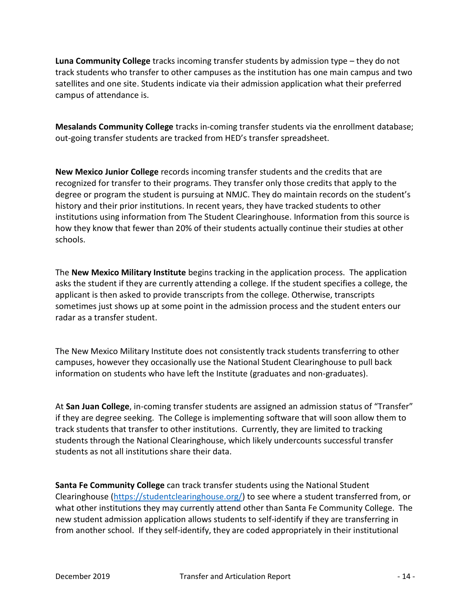Luna Community College tracks incoming transfer students by admission type – they do not track students who transfer to other campuses as the institution has one main campus and two satellites and one site. Students indicate via their admission application what their preferred campus of attendance is.

Mesalands Community College tracks in-coming transfer students via the enrollment database; out-going transfer students are tracked from HED's transfer spreadsheet.

New Mexico Junior College records incoming transfer students and the credits that are recognized for transfer to their programs. They transfer only those credits that apply to the degree or program the student is pursuing at NMJC. They do maintain records on the student's history and their prior institutions. In recent years, they have tracked students to other institutions using information from The Student Clearinghouse. Information from this source is how they know that fewer than 20% of their students actually continue their studies at other schools.

The New Mexico Military Institute begins tracking in the application process. The application asks the student if they are currently attending a college. If the student specifies a college, the applicant is then asked to provide transcripts from the college. Otherwise, transcripts sometimes just shows up at some point in the admission process and the student enters our radar as a transfer student.

The New Mexico Military Institute does not consistently track students transferring to other campuses, however they occasionally use the National Student Clearinghouse to pull back information on students who have left the Institute (graduates and non-graduates).

At San Juan College, in-coming transfer students are assigned an admission status of "Transfer" if they are degree seeking. The College is implementing software that will soon allow them to track students that transfer to other institutions. Currently, they are limited to tracking students through the National Clearinghouse, which likely undercounts successful transfer students as not all institutions share their data.

Santa Fe Community College can track transfer students using the National Student Clearinghouse (https://studentclearinghouse.org/) to see where a student transferred from, or what other institutions they may currently attend other than Santa Fe Community College. The new student admission application allows students to self-identify if they are transferring in from another school. If they self-identify, they are coded appropriately in their institutional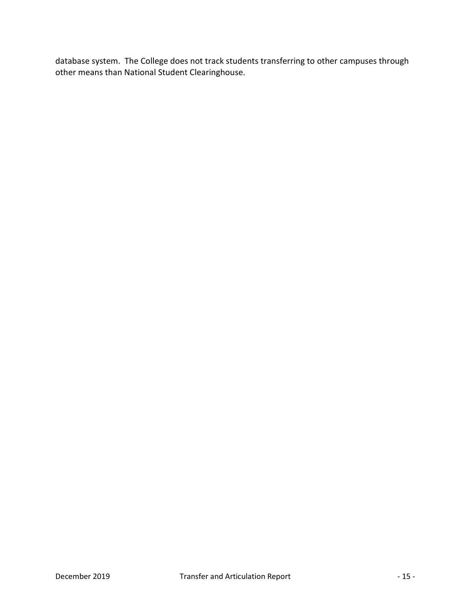database system. The College does not track students transferring to other campuses through other means than National Student Clearinghouse.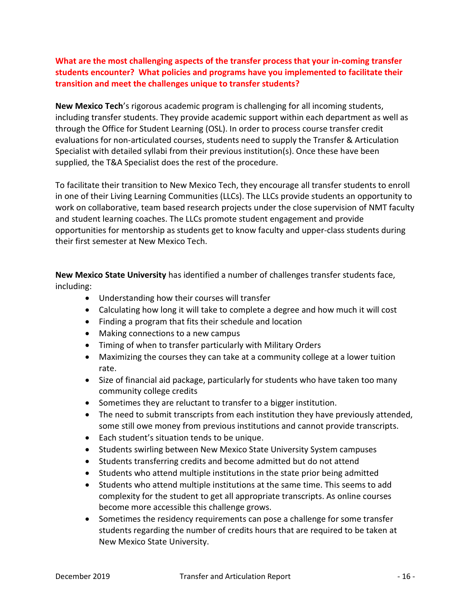# What are the most challenging aspects of the transfer process that your in-coming transfer students encounter? What policies and programs have you implemented to facilitate their transition and meet the challenges unique to transfer students?

New Mexico Tech's rigorous academic program is challenging for all incoming students, including transfer students. They provide academic support within each department as well as through the Office for Student Learning (OSL). In order to process course transfer credit evaluations for non-articulated courses, students need to supply the Transfer & Articulation Specialist with detailed syllabi from their previous institution(s). Once these have been supplied, the T&A Specialist does the rest of the procedure.

To facilitate their transition to New Mexico Tech, they encourage all transfer students to enroll in one of their Living Learning Communities (LLCs). The LLCs provide students an opportunity to work on collaborative, team based research projects under the close supervision of NMT faculty and student learning coaches. The LLCs promote student engagement and provide opportunities for mentorship as students get to know faculty and upper-class students during their first semester at New Mexico Tech.

New Mexico State University has identified a number of challenges transfer students face, including:

- Understanding how their courses will transfer
- Calculating how long it will take to complete a degree and how much it will cost
- Finding a program that fits their schedule and location
- Making connections to a new campus
- Timing of when to transfer particularly with Military Orders
- Maximizing the courses they can take at a community college at a lower tuition rate.
- Size of financial aid package, particularly for students who have taken too many community college credits
- Sometimes they are reluctant to transfer to a bigger institution.
- The need to submit transcripts from each institution they have previously attended, some still owe money from previous institutions and cannot provide transcripts.
- Each student's situation tends to be unique.
- Students swirling between New Mexico State University System campuses
- Students transferring credits and become admitted but do not attend
- Students who attend multiple institutions in the state prior being admitted
- Students who attend multiple institutions at the same time. This seems to add complexity for the student to get all appropriate transcripts. As online courses become more accessible this challenge grows.
- Sometimes the residency requirements can pose a challenge for some transfer students regarding the number of credits hours that are required to be taken at New Mexico State University.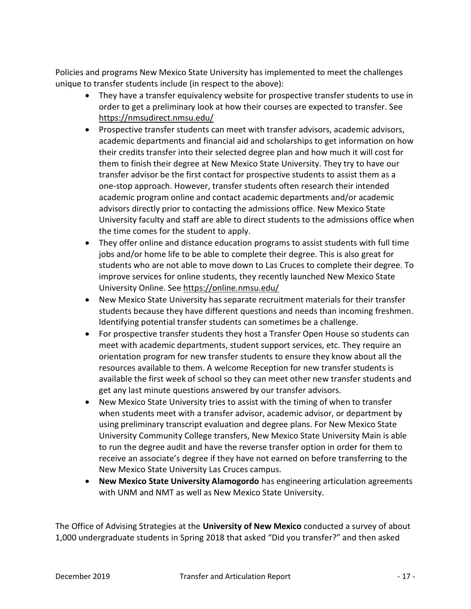Policies and programs New Mexico State University has implemented to meet the challenges unique to transfer students include (in respect to the above):

- They have a transfer equivalency website for prospective transfer students to use in order to get a preliminary look at how their courses are expected to transfer. See https://nmsudirect.nmsu.edu/
- Prospective transfer students can meet with transfer advisors, academic advisors, academic departments and financial aid and scholarships to get information on how their credits transfer into their selected degree plan and how much it will cost for them to finish their degree at New Mexico State University. They try to have our transfer advisor be the first contact for prospective students to assist them as a one-stop approach. However, transfer students often research their intended academic program online and contact academic departments and/or academic advisors directly prior to contacting the admissions office. New Mexico State University faculty and staff are able to direct students to the admissions office when the time comes for the student to apply.
- They offer online and distance education programs to assist students with full time jobs and/or home life to be able to complete their degree. This is also great for students who are not able to move down to Las Cruces to complete their degree. To improve services for online students, they recently launched New Mexico State University Online. See https://online.nmsu.edu/
- New Mexico State University has separate recruitment materials for their transfer students because they have different questions and needs than incoming freshmen. Identifying potential transfer students can sometimes be a challenge.
- For prospective transfer students they host a Transfer Open House so students can meet with academic departments, student support services, etc. They require an orientation program for new transfer students to ensure they know about all the resources available to them. A welcome Reception for new transfer students is available the first week of school so they can meet other new transfer students and get any last minute questions answered by our transfer advisors.
- New Mexico State University tries to assist with the timing of when to transfer when students meet with a transfer advisor, academic advisor, or department by using preliminary transcript evaluation and degree plans. For New Mexico State University Community College transfers, New Mexico State University Main is able to run the degree audit and have the reverse transfer option in order for them to receive an associate's degree if they have not earned on before transferring to the New Mexico State University Las Cruces campus.
- New Mexico State University Alamogordo has engineering articulation agreements with UNM and NMT as well as New Mexico State University.

The Office of Advising Strategies at the University of New Mexico conducted a survey of about 1,000 undergraduate students in Spring 2018 that asked "Did you transfer?" and then asked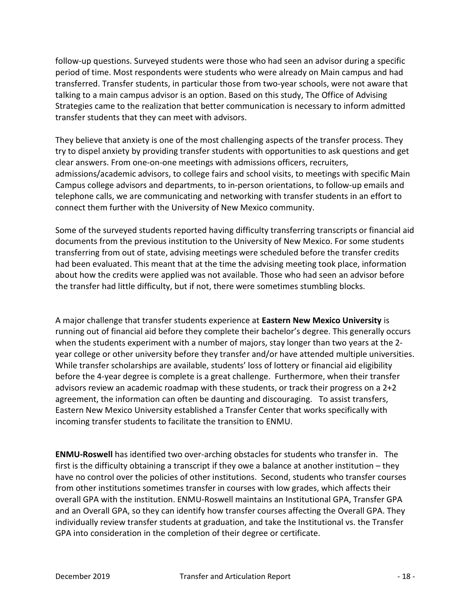follow-up questions. Surveyed students were those who had seen an advisor during a specific period of time. Most respondents were students who were already on Main campus and had transferred. Transfer students, in particular those from two-year schools, were not aware that talking to a main campus advisor is an option. Based on this study, The Office of Advising Strategies came to the realization that better communication is necessary to inform admitted transfer students that they can meet with advisors.

They believe that anxiety is one of the most challenging aspects of the transfer process. They try to dispel anxiety by providing transfer students with opportunities to ask questions and get clear answers. From one-on-one meetings with admissions officers, recruiters, admissions/academic advisors, to college fairs and school visits, to meetings with specific Main Campus college advisors and departments, to in-person orientations, to follow-up emails and telephone calls, we are communicating and networking with transfer students in an effort to connect them further with the University of New Mexico community.

Some of the surveyed students reported having difficulty transferring transcripts or financial aid documents from the previous institution to the University of New Mexico. For some students transferring from out of state, advising meetings were scheduled before the transfer credits had been evaluated. This meant that at the time the advising meeting took place, information about how the credits were applied was not available. Those who had seen an advisor before the transfer had little difficulty, but if not, there were sometimes stumbling blocks.

A major challenge that transfer students experience at Eastern New Mexico University is running out of financial aid before they complete their bachelor's degree. This generally occurs when the students experiment with a number of majors, stay longer than two years at the 2 year college or other university before they transfer and/or have attended multiple universities. While transfer scholarships are available, students' loss of lottery or financial aid eligibility before the 4-year degree is complete is a great challenge. Furthermore, when their transfer advisors review an academic roadmap with these students, or track their progress on a 2+2 agreement, the information can often be daunting and discouraging. To assist transfers, Eastern New Mexico University established a Transfer Center that works specifically with incoming transfer students to facilitate the transition to ENMU.

ENMU-Roswell has identified two over-arching obstacles for students who transfer in. The first is the difficulty obtaining a transcript if they owe a balance at another institution – they have no control over the policies of other institutions. Second, students who transfer courses from other institutions sometimes transfer in courses with low grades, which affects their overall GPA with the institution. ENMU-Roswell maintains an Institutional GPA, Transfer GPA and an Overall GPA, so they can identify how transfer courses affecting the Overall GPA. They individually review transfer students at graduation, and take the Institutional vs. the Transfer GPA into consideration in the completion of their degree or certificate.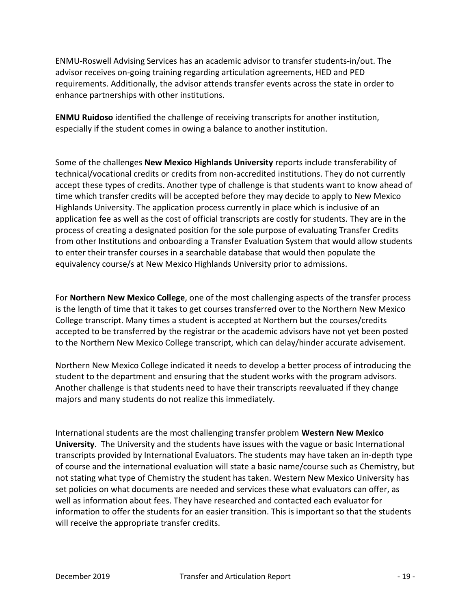ENMU-Roswell Advising Services has an academic advisor to transfer students-in/out. The advisor receives on-going training regarding articulation agreements, HED and PED requirements. Additionally, the advisor attends transfer events across the state in order to enhance partnerships with other institutions.

ENMU Ruidoso identified the challenge of receiving transcripts for another institution, especially if the student comes in owing a balance to another institution.

Some of the challenges New Mexico Highlands University reports include transferability of technical/vocational credits or credits from non-accredited institutions. They do not currently accept these types of credits. Another type of challenge is that students want to know ahead of time which transfer credits will be accepted before they may decide to apply to New Mexico Highlands University. The application process currently in place which is inclusive of an application fee as well as the cost of official transcripts are costly for students. They are in the process of creating a designated position for the sole purpose of evaluating Transfer Credits from other Institutions and onboarding a Transfer Evaluation System that would allow students to enter their transfer courses in a searchable database that would then populate the equivalency course/s at New Mexico Highlands University prior to admissions.

For Northern New Mexico College, one of the most challenging aspects of the transfer process is the length of time that it takes to get courses transferred over to the Northern New Mexico College transcript. Many times a student is accepted at Northern but the courses/credits accepted to be transferred by the registrar or the academic advisors have not yet been posted to the Northern New Mexico College transcript, which can delay/hinder accurate advisement.

Northern New Mexico College indicated it needs to develop a better process of introducing the student to the department and ensuring that the student works with the program advisors. Another challenge is that students need to have their transcripts reevaluated if they change majors and many students do not realize this immediately.

International students are the most challenging transfer problem Western New Mexico University. The University and the students have issues with the vague or basic International transcripts provided by International Evaluators. The students may have taken an in-depth type of course and the international evaluation will state a basic name/course such as Chemistry, but not stating what type of Chemistry the student has taken. Western New Mexico University has set policies on what documents are needed and services these what evaluators can offer, as well as information about fees. They have researched and contacted each evaluator for information to offer the students for an easier transition. This is important so that the students will receive the appropriate transfer credits.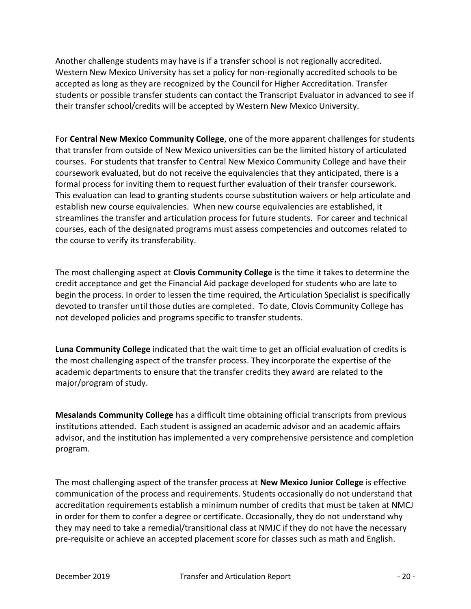Another challenge students may have is if a transfer school is not regionally accredited. Western New Mexico University has set a policy for non-regionally accredited schools to be accepted as long as they are recognized by the Council for Higher Accreditation. Transfer students or possible transfer students can contact the Transcript Evaluator in advanced to see if their transfer school/credits will be accepted by Western New Mexico University.

For Central New Mexico Community College, one of the more apparent challenges for students that transfer from outside of New Mexico universities can be the limited history of articulated courses. For students that transfer to Central New Mexico Community College and have their coursework evaluated, but do not receive the equivalencies that they anticipated, there is a formal process for inviting them to request further evaluation of their transfer coursework. This evaluation can lead to granting students course substitution waivers or help articulate and establish new course equivalencies. When new course equivalencies are established, it streamlines the transfer and articulation process for future students. For career and technical courses, each of the designated programs must assess competencies and outcomes related to the course to verify its transferability.

The most challenging aspect at **Clovis Community College** is the time it takes to determine the credit acceptance and get the Financial Aid package developed for students who are late to begin the process. In order to lessen the time required, the Articulation Specialist is specifically devoted to transfer until those duties are completed. To date, Clovis Community College has not developed policies and programs specific to transfer students.

Luna Community College indicated that the wait time to get an official evaluation of credits is the most challenging aspect of the transfer process. They incorporate the expertise of the academic departments to ensure that the transfer credits they award are related to the major/program of study.

Mesalands Community College has a difficult time obtaining official transcripts from previous institutions attended. Each student is assigned an academic advisor and an academic affairs advisor, and the institution has implemented a very comprehensive persistence and completion program.

The most challenging aspect of the transfer process at New Mexico Junior College is effective communication of the process and requirements. Students occasionally do not understand that accreditation requirements establish a minimum number of credits that must be taken at NMCJ in order for them to confer a degree or certificate. Occasionally, they do not understand why they may need to take a remedial/transitional class at NMJC if they do not have the necessary pre-requisite or achieve an accepted placement score for classes such as math and English.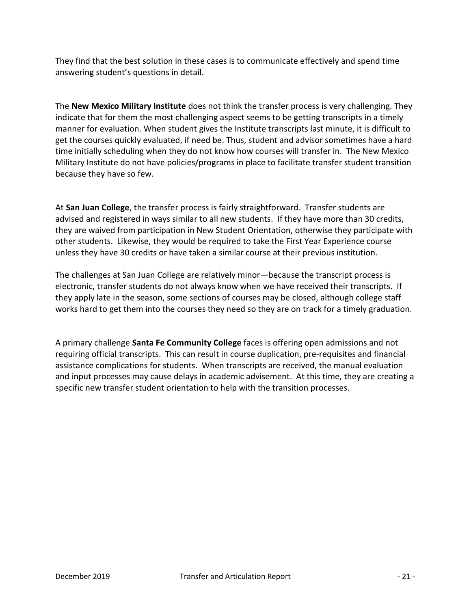They find that the best solution in these cases is to communicate effectively and spend time answering student's questions in detail.

The New Mexico Military Institute does not think the transfer process is very challenging. They indicate that for them the most challenging aspect seems to be getting transcripts in a timely manner for evaluation. When student gives the Institute transcripts last minute, it is difficult to get the courses quickly evaluated, if need be. Thus, student and advisor sometimes have a hard time initially scheduling when they do not know how courses will transfer in. The New Mexico Military Institute do not have policies/programs in place to facilitate transfer student transition because they have so few.

At San Juan College, the transfer process is fairly straightforward. Transfer students are advised and registered in ways similar to all new students. If they have more than 30 credits, they are waived from participation in New Student Orientation, otherwise they participate with other students. Likewise, they would be required to take the First Year Experience course unless they have 30 credits or have taken a similar course at their previous institution.

The challenges at San Juan College are relatively minor—because the transcript process is electronic, transfer students do not always know when we have received their transcripts. If they apply late in the season, some sections of courses may be closed, although college staff works hard to get them into the courses they need so they are on track for a timely graduation.

A primary challenge Santa Fe Community College faces is offering open admissions and not requiring official transcripts. This can result in course duplication, pre-requisites and financial assistance complications for students. When transcripts are received, the manual evaluation and input processes may cause delays in academic advisement. At this time, they are creating a specific new transfer student orientation to help with the transition processes.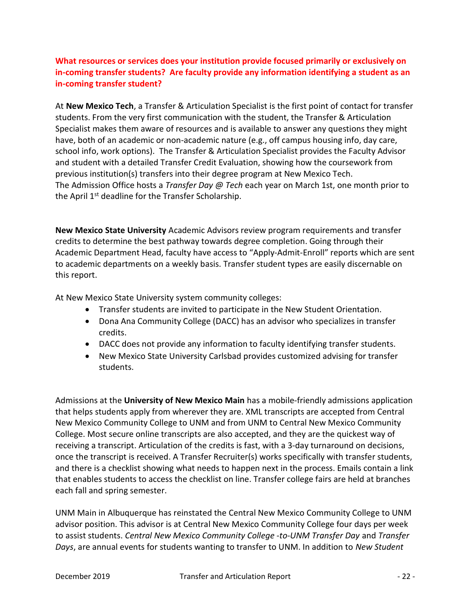# What resources or services does your institution provide focused primarily or exclusively on in-coming transfer students? Are faculty provide any information identifying a student as an in-coming transfer student?

At New Mexico Tech, a Transfer & Articulation Specialist is the first point of contact for transfer students. From the very first communication with the student, the Transfer & Articulation Specialist makes them aware of resources and is available to answer any questions they might have, both of an academic or non-academic nature (e.g., off campus housing info, day care, school info, work options). The Transfer & Articulation Specialist provides the Faculty Advisor and student with a detailed Transfer Credit Evaluation, showing how the coursework from previous institution(s) transfers into their degree program at New Mexico Tech. The Admission Office hosts a *Transfer Day @ Tech* each year on March 1st, one month prior to the April 1<sup>st</sup> deadline for the Transfer Scholarship.

New Mexico State University Academic Advisors review program requirements and transfer credits to determine the best pathway towards degree completion. Going through their Academic Department Head, faculty have access to "Apply-Admit-Enroll" reports which are sent to academic departments on a weekly basis. Transfer student types are easily discernable on this report.

At New Mexico State University system community colleges:

- Transfer students are invited to participate in the New Student Orientation.
- Dona Ana Community College (DACC) has an advisor who specializes in transfer credits.
- DACC does not provide any information to faculty identifying transfer students.
- New Mexico State University Carlsbad provides customized advising for transfer students.

Admissions at the University of New Mexico Main has a mobile-friendly admissions application that helps students apply from wherever they are. XML transcripts are accepted from Central New Mexico Community College to UNM and from UNM to Central New Mexico Community College. Most secure online transcripts are also accepted, and they are the quickest way of receiving a transcript. Articulation of the credits is fast, with a 3-day turnaround on decisions, once the transcript is received. A Transfer Recruiter(s) works specifically with transfer students, and there is a checklist showing what needs to happen next in the process. Emails contain a link that enables students to access the checklist on line. Transfer college fairs are held at branches each fall and spring semester.

UNM Main in Albuquerque has reinstated the Central New Mexico Community College to UNM advisor position. This advisor is at Central New Mexico Community College four days per week to assist students. Central New Mexico Community College -to-UNM Transfer Day and Transfer Days, are annual events for students wanting to transfer to UNM. In addition to New Student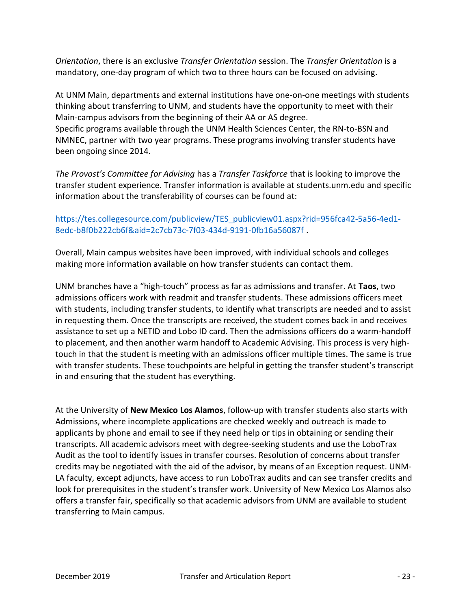Orientation, there is an exclusive Transfer Orientation session. The Transfer Orientation is a mandatory, one-day program of which two to three hours can be focused on advising.

At UNM Main, departments and external institutions have one-on-one meetings with students thinking about transferring to UNM, and students have the opportunity to meet with their Main-campus advisors from the beginning of their AA or AS degree. Specific programs available through the UNM Health Sciences Center, the RN-to-BSN and NMNEC, partner with two year programs. These programs involving transfer students have been ongoing since 2014.

The Provost's Committee for Advising has a Transfer Taskforce that is looking to improve the transfer student experience. Transfer information is available at students.unm.edu and specific information about the transferability of courses can be found at:

### https://tes.collegesource.com/publicview/TES\_publicview01.aspx?rid=956fca42-5a56-4ed1- 8edc-b8f0b222cb6f&aid=2c7cb73c-7f03-434d-9191-0fb16a56087f .

Overall, Main campus websites have been improved, with individual schools and colleges making more information available on how transfer students can contact them.

UNM branches have a "high-touch" process as far as admissions and transfer. At Taos, two admissions officers work with readmit and transfer students. These admissions officers meet with students, including transfer students, to identify what transcripts are needed and to assist in requesting them. Once the transcripts are received, the student comes back in and receives assistance to set up a NETID and Lobo ID card. Then the admissions officers do a warm-handoff to placement, and then another warm handoff to Academic Advising. This process is very hightouch in that the student is meeting with an admissions officer multiple times. The same is true with transfer students. These touchpoints are helpful in getting the transfer student's transcript in and ensuring that the student has everything.

At the University of New Mexico Los Alamos, follow-up with transfer students also starts with Admissions, where incomplete applications are checked weekly and outreach is made to applicants by phone and email to see if they need help or tips in obtaining or sending their transcripts. All academic advisors meet with degree-seeking students and use the LoboTrax Audit as the tool to identify issues in transfer courses. Resolution of concerns about transfer credits may be negotiated with the aid of the advisor, by means of an Exception request. UNM-LA faculty, except adjuncts, have access to run LoboTrax audits and can see transfer credits and look for prerequisites in the student's transfer work. University of New Mexico Los Alamos also offers a transfer fair, specifically so that academic advisors from UNM are available to student transferring to Main campus.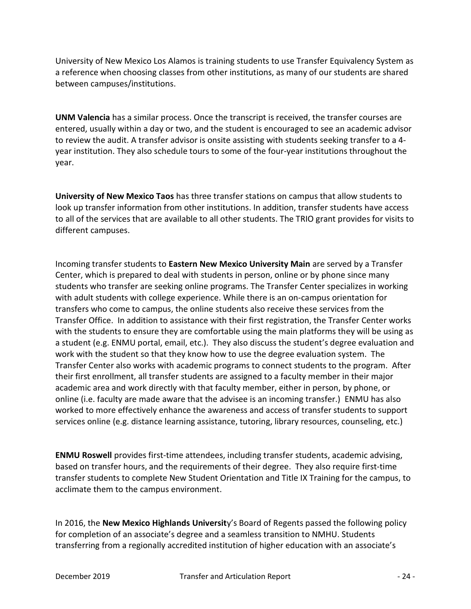University of New Mexico Los Alamos is training students to use Transfer Equivalency System as a reference when choosing classes from other institutions, as many of our students are shared between campuses/institutions.

UNM Valencia has a similar process. Once the transcript is received, the transfer courses are entered, usually within a day or two, and the student is encouraged to see an academic advisor to review the audit. A transfer advisor is onsite assisting with students seeking transfer to a 4 year institution. They also schedule tours to some of the four-year institutions throughout the year.

University of New Mexico Taos has three transfer stations on campus that allow students to look up transfer information from other institutions. In addition, transfer students have access to all of the services that are available to all other students. The TRIO grant provides for visits to different campuses.

Incoming transfer students to Eastern New Mexico University Main are served by a Transfer Center, which is prepared to deal with students in person, online or by phone since many students who transfer are seeking online programs. The Transfer Center specializes in working with adult students with college experience. While there is an on-campus orientation for transfers who come to campus, the online students also receive these services from the Transfer Office. In addition to assistance with their first registration, the Transfer Center works with the students to ensure they are comfortable using the main platforms they will be using as a student (e.g. ENMU portal, email, etc.). They also discuss the student's degree evaluation and work with the student so that they know how to use the degree evaluation system. The Transfer Center also works with academic programs to connect students to the program. After their first enrollment, all transfer students are assigned to a faculty member in their major academic area and work directly with that faculty member, either in person, by phone, or online (i.e. faculty are made aware that the advisee is an incoming transfer.) ENMU has also worked to more effectively enhance the awareness and access of transfer students to support services online (e.g. distance learning assistance, tutoring, library resources, counseling, etc.)

ENMU Roswell provides first-time attendees, including transfer students, academic advising, based on transfer hours, and the requirements of their degree. They also require first-time transfer students to complete New Student Orientation and Title IX Training for the campus, to acclimate them to the campus environment.

In 2016, the New Mexico Highlands University's Board of Regents passed the following policy for completion of an associate's degree and a seamless transition to NMHU. Students transferring from a regionally accredited institution of higher education with an associate's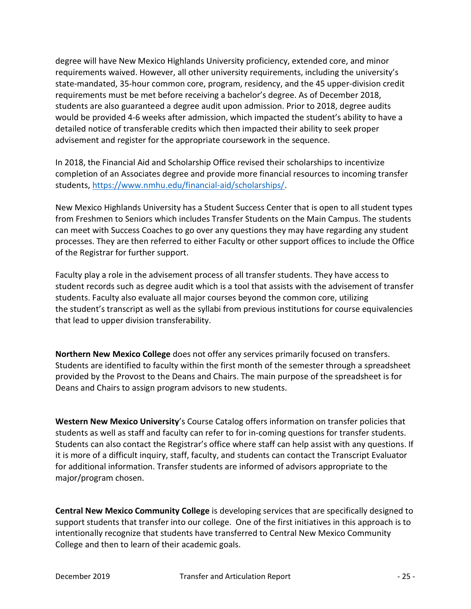degree will have New Mexico Highlands University proficiency, extended core, and minor requirements waived. However, all other university requirements, including the university's state-mandated, 35-hour common core, program, residency, and the 45 upper-division credit requirements must be met before receiving a bachelor's degree. As of December 2018, students are also guaranteed a degree audit upon admission. Prior to 2018, degree audits would be provided 4-6 weeks after admission, which impacted the student's ability to have a detailed notice of transferable credits which then impacted their ability to seek proper advisement and register for the appropriate coursework in the sequence.

In 2018, the Financial Aid and Scholarship Office revised their scholarships to incentivize completion of an Associates degree and provide more financial resources to incoming transfer students, https://www.nmhu.edu/financial-aid/scholarships/.

New Mexico Highlands University has a Student Success Center that is open to all student types from Freshmen to Seniors which includes Transfer Students on the Main Campus. The students can meet with Success Coaches to go over any questions they may have regarding any student processes. They are then referred to either Faculty or other support offices to include the Office of the Registrar for further support.

Faculty play a role in the advisement process of all transfer students. They have access to student records such as degree audit which is a tool that assists with the advisement of transfer students. Faculty also evaluate all major courses beyond the common core, utilizing the student's transcript as well as the syllabi from previous institutions for course equivalencies that lead to upper division transferability.

Northern New Mexico College does not offer any services primarily focused on transfers. Students are identified to faculty within the first month of the semester through a spreadsheet provided by the Provost to the Deans and Chairs. The main purpose of the spreadsheet is for Deans and Chairs to assign program advisors to new students.

Western New Mexico University's Course Catalog offers information on transfer policies that students as well as staff and faculty can refer to for in-coming questions for transfer students. Students can also contact the Registrar's office where staff can help assist with any questions. If it is more of a difficult inquiry, staff, faculty, and students can contact the Transcript Evaluator for additional information. Transfer students are informed of advisors appropriate to the major/program chosen.

Central New Mexico Community College is developing services that are specifically designed to support students that transfer into our college. One of the first initiatives in this approach is to intentionally recognize that students have transferred to Central New Mexico Community College and then to learn of their academic goals.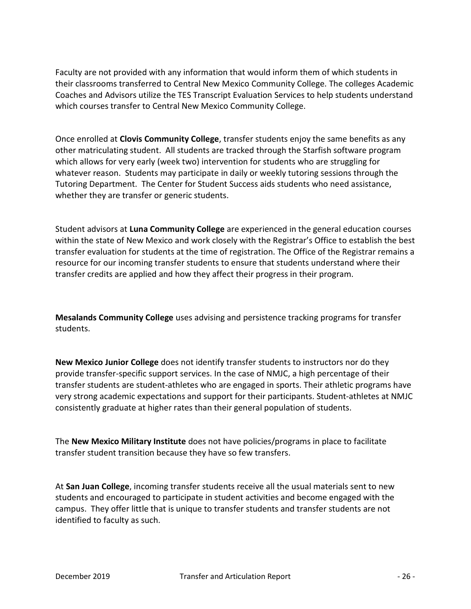Faculty are not provided with any information that would inform them of which students in their classrooms transferred to Central New Mexico Community College. The colleges Academic Coaches and Advisors utilize the TES Transcript Evaluation Services to help students understand which courses transfer to Central New Mexico Community College.

Once enrolled at Clovis Community College, transfer students enjoy the same benefits as any other matriculating student. All students are tracked through the Starfish software program which allows for very early (week two) intervention for students who are struggling for whatever reason. Students may participate in daily or weekly tutoring sessions through the Tutoring Department. The Center for Student Success aids students who need assistance, whether they are transfer or generic students.

Student advisors at Luna Community College are experienced in the general education courses within the state of New Mexico and work closely with the Registrar's Office to establish the best transfer evaluation for students at the time of registration. The Office of the Registrar remains a resource for our incoming transfer students to ensure that students understand where their transfer credits are applied and how they affect their progress in their program.

Mesalands Community College uses advising and persistence tracking programs for transfer students.

New Mexico Junior College does not identify transfer students to instructors nor do they provide transfer-specific support services. In the case of NMJC, a high percentage of their transfer students are student-athletes who are engaged in sports. Their athletic programs have very strong academic expectations and support for their participants. Student-athletes at NMJC consistently graduate at higher rates than their general population of students.

The New Mexico Military Institute does not have policies/programs in place to facilitate transfer student transition because they have so few transfers.

At San Juan College, incoming transfer students receive all the usual materials sent to new students and encouraged to participate in student activities and become engaged with the campus. They offer little that is unique to transfer students and transfer students are not identified to faculty as such.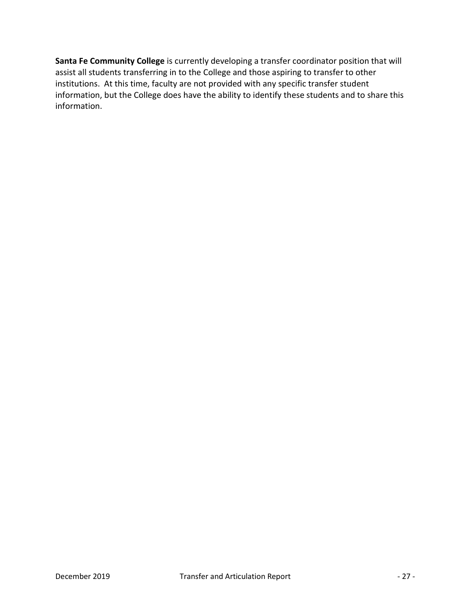Santa Fe Community College is currently developing a transfer coordinator position that will assist all students transferring in to the College and those aspiring to transfer to other institutions. At this time, faculty are not provided with any specific transfer student information, but the College does have the ability to identify these students and to share this information.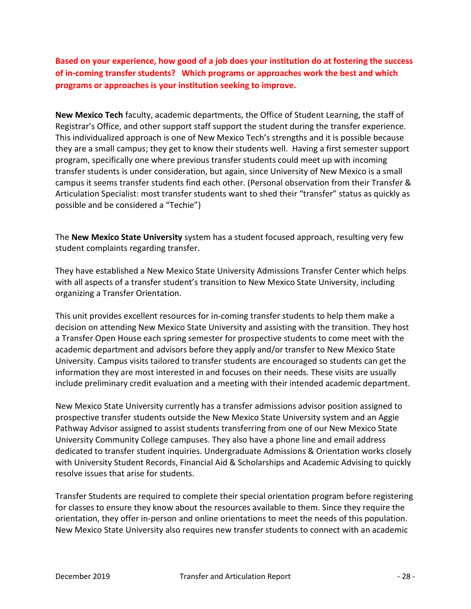Based on your experience, how good of a job does your institution do at fostering the success of in-coming transfer students? Which programs or approaches work the best and which programs or approaches is your institution seeking to improve.

New Mexico Tech faculty, academic departments, the Office of Student Learning, the staff of Registrar's Office, and other support staff support the student during the transfer experience. This individualized approach is one of New Mexico Tech's strengths and it is possible because they are a small campus; they get to know their students well. Having a first semester support program, specifically one where previous transfer students could meet up with incoming transfer students is under consideration, but again, since University of New Mexico is a small campus it seems transfer students find each other. (Personal observation from their Transfer & Articulation Specialist: most transfer students want to shed their "transfer" status as quickly as possible and be considered a "Techie")

The New Mexico State University system has a student focused approach, resulting very few student complaints regarding transfer.

They have established a New Mexico State University Admissions Transfer Center which helps with all aspects of a transfer student's transition to New Mexico State University, including organizing a Transfer Orientation.

This unit provides excellent resources for in-coming transfer students to help them make a decision on attending New Mexico State University and assisting with the transition. They host a Transfer Open House each spring semester for prospective students to come meet with the academic department and advisors before they apply and/or transfer to New Mexico State University. Campus visits tailored to transfer students are encouraged so students can get the information they are most interested in and focuses on their needs. These visits are usually include preliminary credit evaluation and a meeting with their intended academic department.

New Mexico State University currently has a transfer admissions advisor position assigned to prospective transfer students outside the New Mexico State University system and an Aggie Pathway Advisor assigned to assist students transferring from one of our New Mexico State University Community College campuses. They also have a phone line and email address dedicated to transfer student inquiries. Undergraduate Admissions & Orientation works closely with University Student Records, Financial Aid & Scholarships and Academic Advising to quickly resolve issues that arise for students.

Transfer Students are required to complete their special orientation program before registering for classes to ensure they know about the resources available to them. Since they require the orientation, they offer in-person and online orientations to meet the needs of this population. New Mexico State University also requires new transfer students to connect with an academic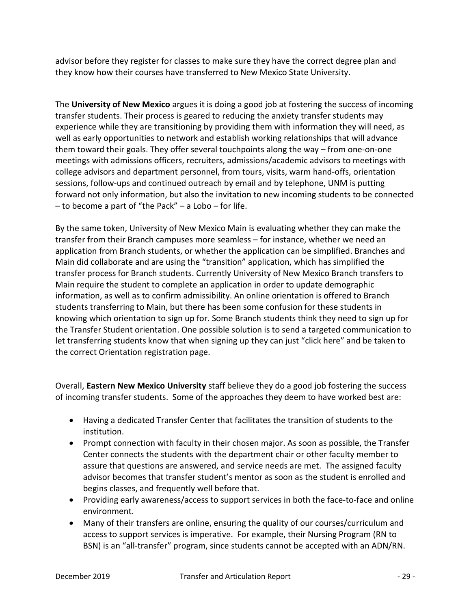advisor before they register for classes to make sure they have the correct degree plan and they know how their courses have transferred to New Mexico State University.

The University of New Mexico argues it is doing a good job at fostering the success of incoming transfer students. Their process is geared to reducing the anxiety transfer students may experience while they are transitioning by providing them with information they will need, as well as early opportunities to network and establish working relationships that will advance them toward their goals. They offer several touchpoints along the way – from one-on-one meetings with admissions officers, recruiters, admissions/academic advisors to meetings with college advisors and department personnel, from tours, visits, warm hand-offs, orientation sessions, follow-ups and continued outreach by email and by telephone, UNM is putting forward not only information, but also the invitation to new incoming students to be connected – to become a part of "the Pack" – a Lobo – for life.

By the same token, University of New Mexico Main is evaluating whether they can make the transfer from their Branch campuses more seamless – for instance, whether we need an application from Branch students, or whether the application can be simplified. Branches and Main did collaborate and are using the "transition" application, which has simplified the transfer process for Branch students. Currently University of New Mexico Branch transfers to Main require the student to complete an application in order to update demographic information, as well as to confirm admissibility. An online orientation is offered to Branch students transferring to Main, but there has been some confusion for these students in knowing which orientation to sign up for. Some Branch students think they need to sign up for the Transfer Student orientation. One possible solution is to send a targeted communication to let transferring students know that when signing up they can just "click here" and be taken to the correct Orientation registration page.

Overall, Eastern New Mexico University staff believe they do a good job fostering the success of incoming transfer students. Some of the approaches they deem to have worked best are:

- Having a dedicated Transfer Center that facilitates the transition of students to the institution.
- Prompt connection with faculty in their chosen major. As soon as possible, the Transfer Center connects the students with the department chair or other faculty member to assure that questions are answered, and service needs are met. The assigned faculty advisor becomes that transfer student's mentor as soon as the student is enrolled and begins classes, and frequently well before that.
- Providing early awareness/access to support services in both the face-to-face and online environment.
- Many of their transfers are online, ensuring the quality of our courses/curriculum and access to support services is imperative. For example, their Nursing Program (RN to BSN) is an "all-transfer" program, since students cannot be accepted with an ADN/RN.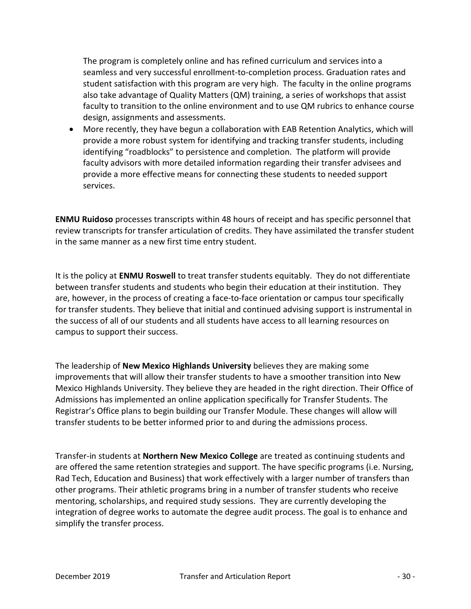The program is completely online and has refined curriculum and services into a seamless and very successful enrollment-to-completion process. Graduation rates and student satisfaction with this program are very high. The faculty in the online programs also take advantage of Quality Matters (QM) training, a series of workshops that assist faculty to transition to the online environment and to use QM rubrics to enhance course design, assignments and assessments.

 More recently, they have begun a collaboration with EAB Retention Analytics, which will provide a more robust system for identifying and tracking transfer students, including identifying "roadblocks" to persistence and completion. The platform will provide faculty advisors with more detailed information regarding their transfer advisees and provide a more effective means for connecting these students to needed support services.

ENMU Ruidoso processes transcripts within 48 hours of receipt and has specific personnel that review transcripts for transfer articulation of credits. They have assimilated the transfer student in the same manner as a new first time entry student.

It is the policy at **ENMU Roswell** to treat transfer students equitably. They do not differentiate between transfer students and students who begin their education at their institution. They are, however, in the process of creating a face-to-face orientation or campus tour specifically for transfer students. They believe that initial and continued advising support is instrumental in the success of all of our students and all students have access to all learning resources on campus to support their success.

The leadership of New Mexico Highlands University believes they are making some improvements that will allow their transfer students to have a smoother transition into New Mexico Highlands University. They believe they are headed in the right direction. Their Office of Admissions has implemented an online application specifically for Transfer Students. The Registrar's Office plans to begin building our Transfer Module. These changes will allow will transfer students to be better informed prior to and during the admissions process.

Transfer-in students at Northern New Mexico College are treated as continuing students and are offered the same retention strategies and support. The have specific programs (i.e. Nursing, Rad Tech, Education and Business) that work effectively with a larger number of transfers than other programs. Their athletic programs bring in a number of transfer students who receive mentoring, scholarships, and required study sessions. They are currently developing the integration of degree works to automate the degree audit process. The goal is to enhance and simplify the transfer process.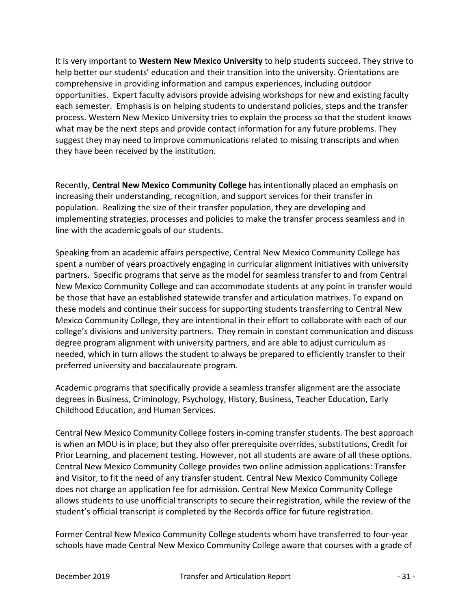It is very important to Western New Mexico University to help students succeed. They strive to help better our students' education and their transition into the university. Orientations are comprehensive in providing information and campus experiences, including outdoor opportunities. Expert faculty advisors provide advising workshops for new and existing faculty each semester. Emphasis is on helping students to understand policies, steps and the transfer process. Western New Mexico University tries to explain the process so that the student knows what may be the next steps and provide contact information for any future problems. They suggest they may need to improve communications related to missing transcripts and when they have been received by the institution.

Recently, Central New Mexico Community College has intentionally placed an emphasis on increasing their understanding, recognition, and support services for their transfer in population. Realizing the size of their transfer population, they are developing and implementing strategies, processes and policies to make the transfer process seamless and in line with the academic goals of our students.

Speaking from an academic affairs perspective, Central New Mexico Community College has spent a number of years proactively engaging in curricular alignment initiatives with university partners. Specific programs that serve as the model for seamless transfer to and from Central New Mexico Community College and can accommodate students at any point in transfer would be those that have an established statewide transfer and articulation matrixes. To expand on these models and continue their success for supporting students transferring to Central New Mexico Community College, they are intentional in their effort to collaborate with each of our college's divisions and university partners. They remain in constant communication and discuss degree program alignment with university partners, and are able to adjust curriculum as needed, which in turn allows the student to always be prepared to efficiently transfer to their preferred university and baccalaureate program.

Academic programs that specifically provide a seamless transfer alignment are the associate degrees in Business, Criminology, Psychology, History, Business, Teacher Education, Early Childhood Education, and Human Services.

Central New Mexico Community College fosters in-coming transfer students. The best approach is when an MOU is in place, but they also offer prerequisite overrides, substitutions, Credit for Prior Learning, and placement testing. However, not all students are aware of all these options. Central New Mexico Community College provides two online admission applications: Transfer and Visitor, to fit the need of any transfer student. Central New Mexico Community College does not charge an application fee for admission. Central New Mexico Community College allows students to use unofficial transcripts to secure their registration, while the review of the student's official transcript is completed by the Records office for future registration.

Former Central New Mexico Community College students whom have transferred to four-year schools have made Central New Mexico Community College aware that courses with a grade of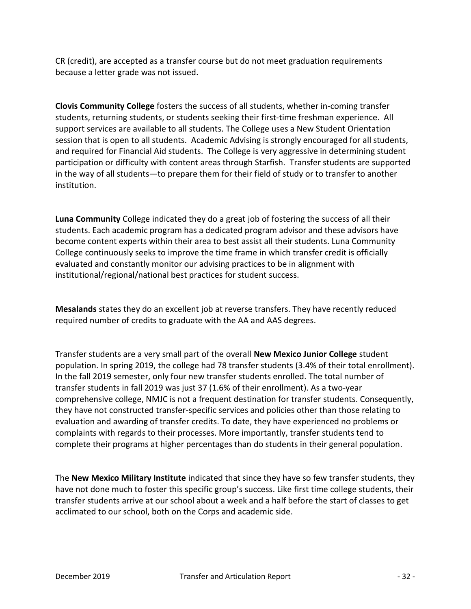CR (credit), are accepted as a transfer course but do not meet graduation requirements because a letter grade was not issued.

Clovis Community College fosters the success of all students, whether in-coming transfer students, returning students, or students seeking their first-time freshman experience. All support services are available to all students. The College uses a New Student Orientation session that is open to all students. Academic Advising is strongly encouraged for all students, and required for Financial Aid students. The College is very aggressive in determining student participation or difficulty with content areas through Starfish. Transfer students are supported in the way of all students—to prepare them for their field of study or to transfer to another institution.

Luna Community College indicated they do a great job of fostering the success of all their students. Each academic program has a dedicated program advisor and these advisors have become content experts within their area to best assist all their students. Luna Community College continuously seeks to improve the time frame in which transfer credit is officially evaluated and constantly monitor our advising practices to be in alignment with institutional/regional/national best practices for student success.

Mesalands states they do an excellent job at reverse transfers. They have recently reduced required number of credits to graduate with the AA and AAS degrees.

Transfer students are a very small part of the overall New Mexico Junior College student population. In spring 2019, the college had 78 transfer students (3.4% of their total enrollment). In the fall 2019 semester, only four new transfer students enrolled. The total number of transfer students in fall 2019 was just 37 (1.6% of their enrollment). As a two-year comprehensive college, NMJC is not a frequent destination for transfer students. Consequently, they have not constructed transfer-specific services and policies other than those relating to evaluation and awarding of transfer credits. To date, they have experienced no problems or complaints with regards to their processes. More importantly, transfer students tend to complete their programs at higher percentages than do students in their general population.

The New Mexico Military Institute indicated that since they have so few transfer students, they have not done much to foster this specific group's success. Like first time college students, their transfer students arrive at our school about a week and a half before the start of classes to get acclimated to our school, both on the Corps and academic side.